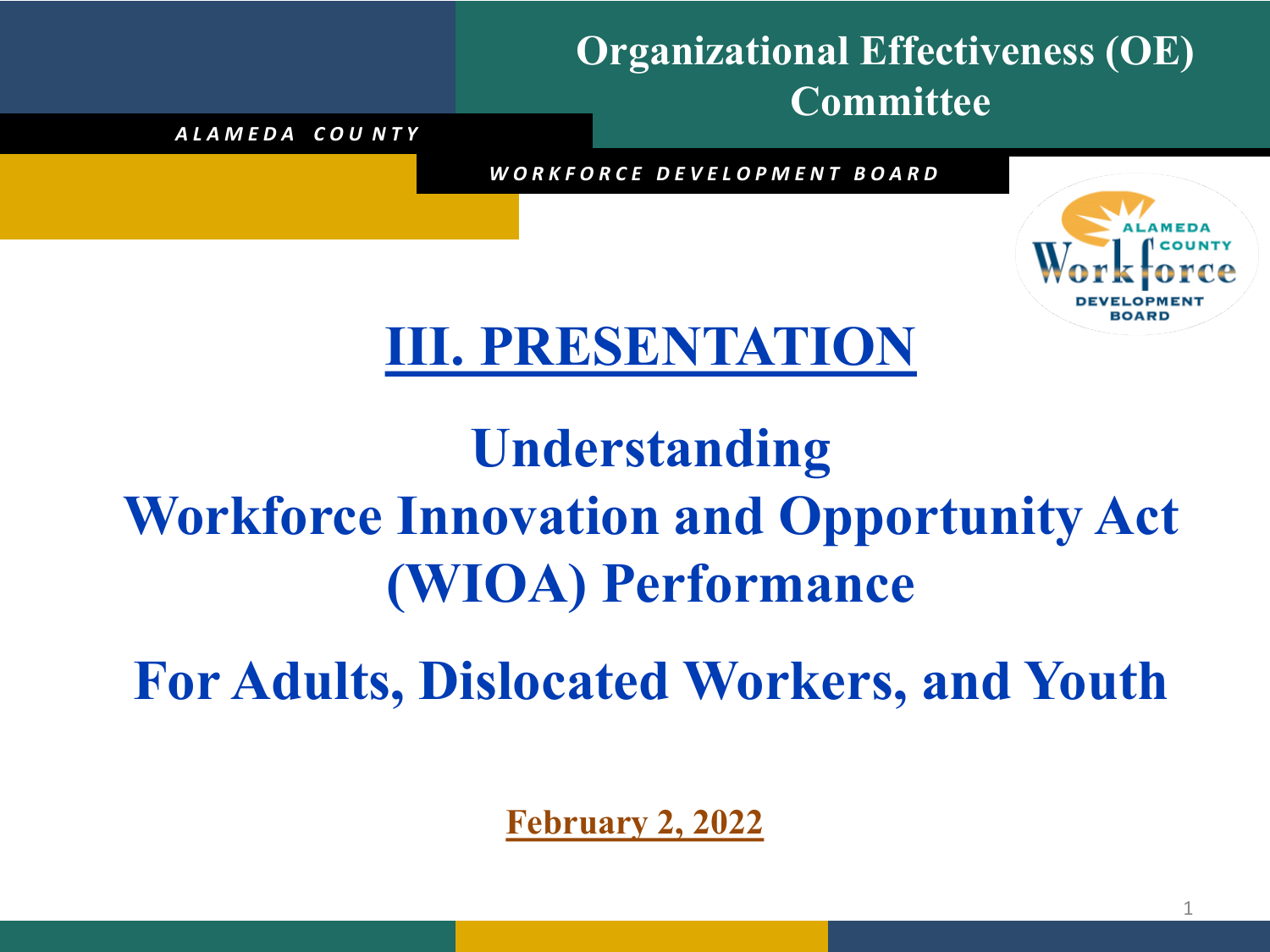#### **Organizational Effectiveness (OE) Committee**

*A L A M E D A C O U N T Y*

*W O R K F O R C E D E V E L O P M E N T B O A R D*



### **III. PRESENTATION**

## **Understanding Workforce Innovation and Opportunity Act (WIOA) Performance**

**For Adults, Dislocated Workers, and Youth**

**February 2, 2022**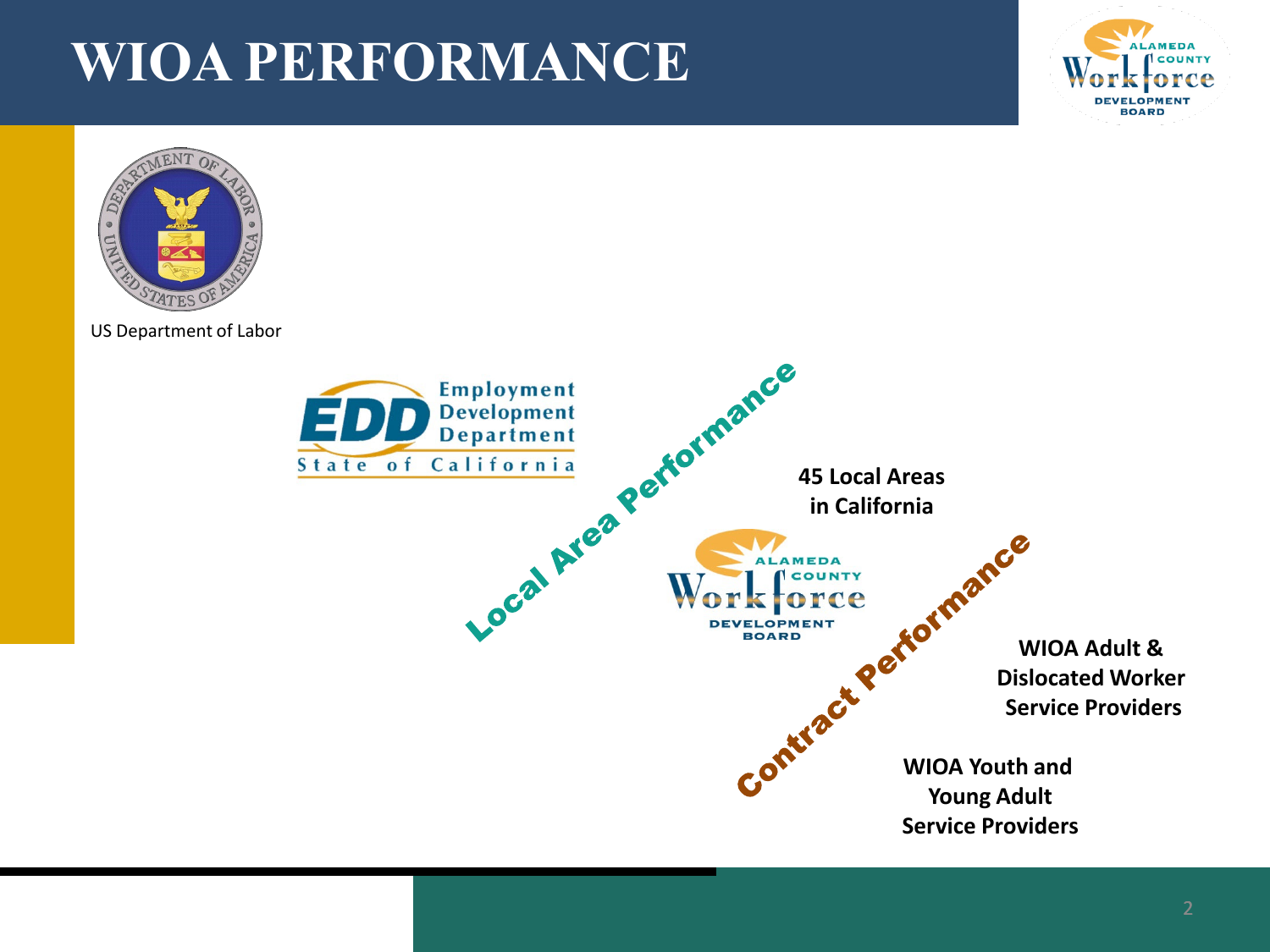

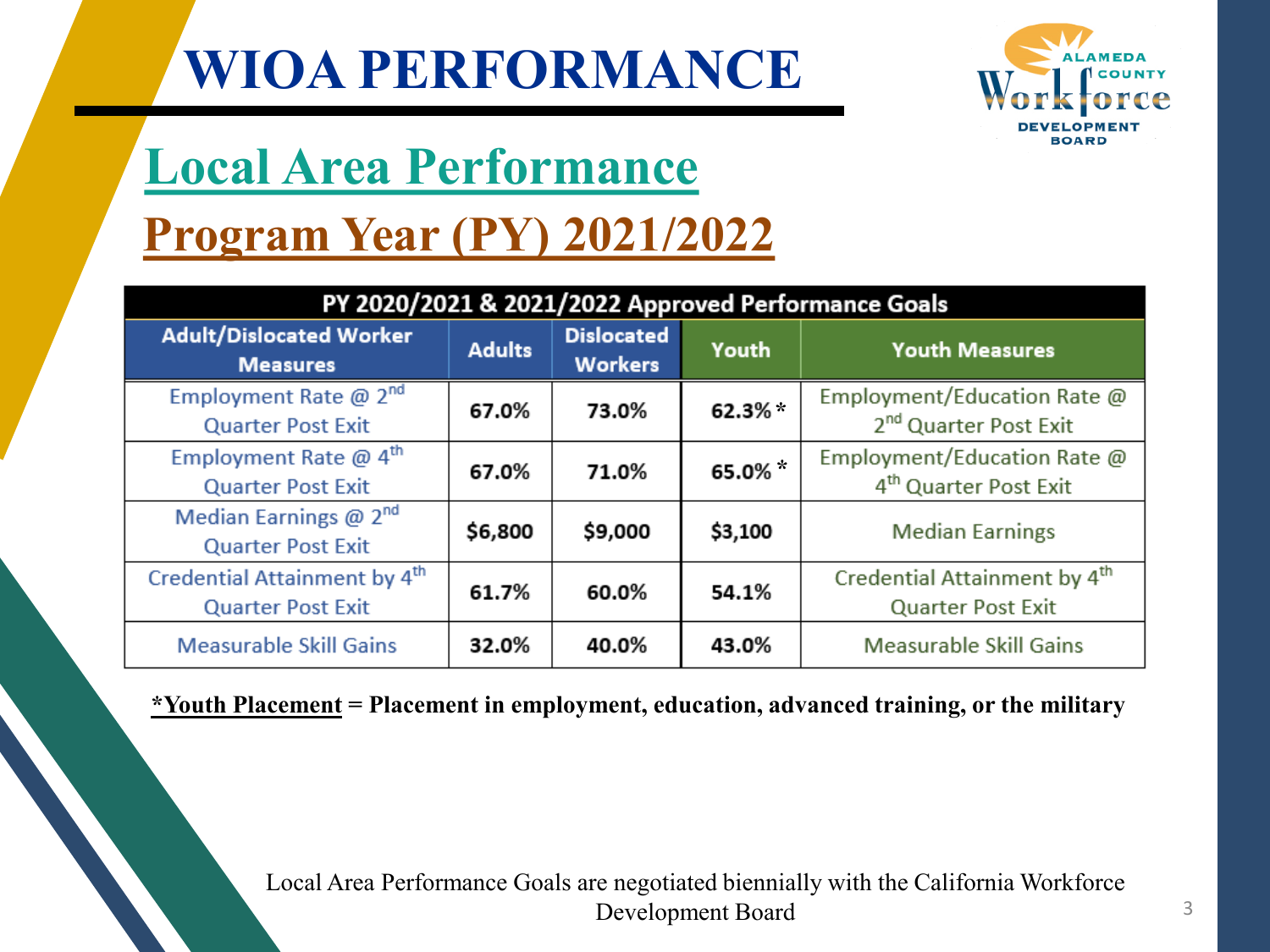

# **Local Area Performance**

#### **Program Year (PY) 2021/2022**

| PY 2020/2021 & 2021/2022 Approved Performance Goals                  |               |                                     |           |                                                                      |  |  |  |  |  |
|----------------------------------------------------------------------|---------------|-------------------------------------|-----------|----------------------------------------------------------------------|--|--|--|--|--|
| <b>Adult/Dislocated Worker</b><br><b>Measures</b>                    | <b>Adults</b> | <b>Dislocated</b><br><b>Workers</b> | Youth     | <b>Youth Measures</b>                                                |  |  |  |  |  |
| Employment Rate $@2nd$<br><b>Quarter Post Exit</b>                   | 67.0%         | 73.0%                               | 62.3% $*$ | Employment/Education Rate @<br>2 <sup>nd</sup> Quarter Post Exit     |  |  |  |  |  |
| Employment Rate $@$ 4 <sup>th</sup><br><b>Quarter Post Exit</b>      | 67.0%         | 71.0%                               | 65.0%     | Employment/Education Rate @<br>4 <sup>th</sup> Quarter Post Exit     |  |  |  |  |  |
| Median Earnings $@2nd$<br><b>Quarter Post Exit</b>                   | \$6,800       | \$9,000                             | \$3,100   | <b>Median Earnings</b>                                               |  |  |  |  |  |
| Credential Attainment by 4 <sup>th</sup><br><b>Quarter Post Exit</b> | 61.7%         | 60.0%                               | 54.1%     | Credential Attainment by 4 <sup>th</sup><br><b>Quarter Post Exit</b> |  |  |  |  |  |
| <b>Measurable Skill Gains</b>                                        | 32.0%         | 40.0%                               | 43.0%     | <b>Measurable Skill Gains</b>                                        |  |  |  |  |  |

#### **\*Youth Placement = Placement in employment, education, advanced training, or the military**

Local Area Performance Goals are negotiated biennially with the California Workforce Development Board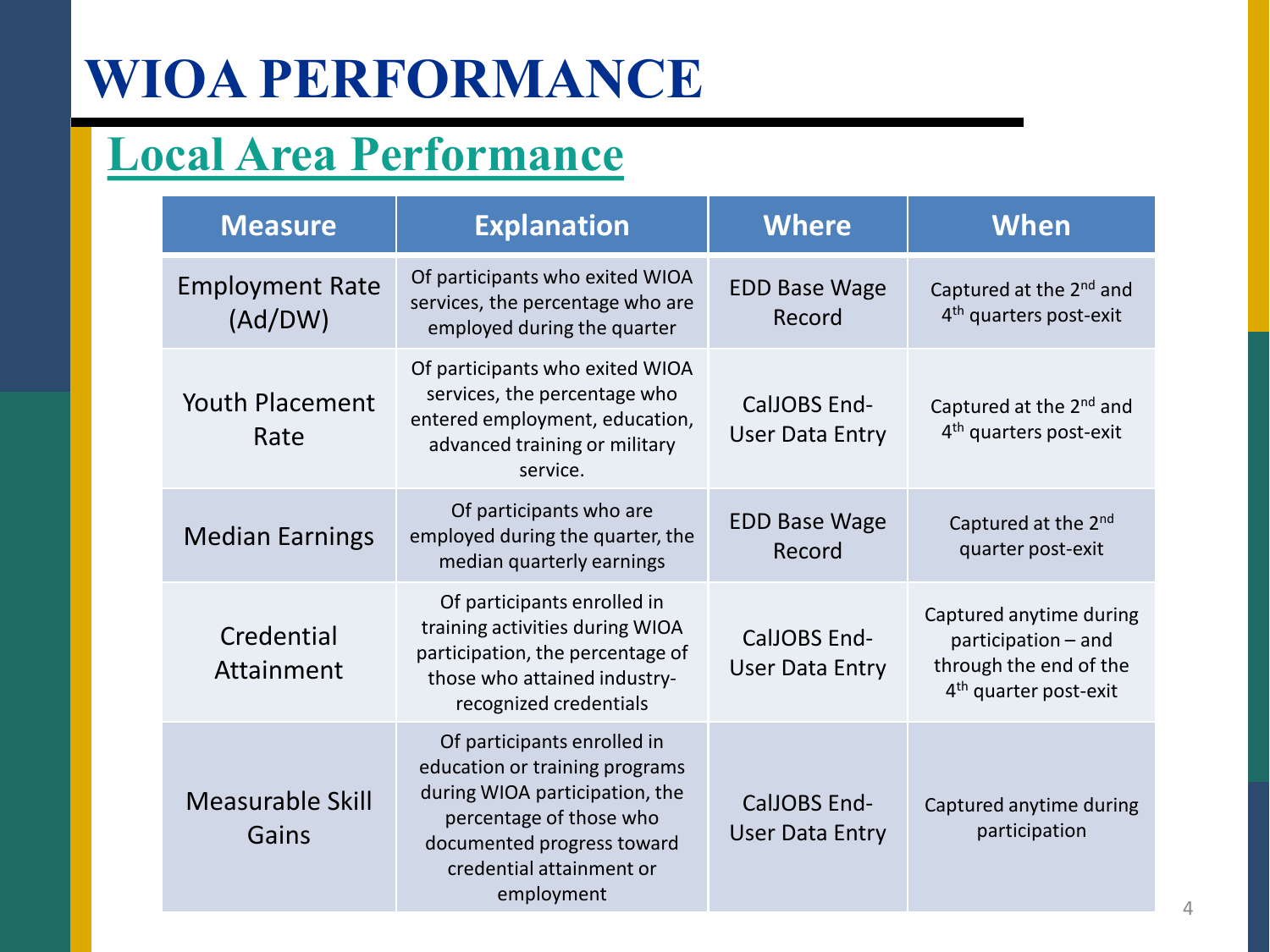#### **Local Area Performance**

| <b>Measure</b>                    | <b>Explanation</b>                                                                                                                                                                                 | <b>Where</b>                                  | <b>When</b>                                                                                                   |
|-----------------------------------|----------------------------------------------------------------------------------------------------------------------------------------------------------------------------------------------------|-----------------------------------------------|---------------------------------------------------------------------------------------------------------------|
| <b>Employment Rate</b><br>(Ad/DW) | Of participants who exited WIOA<br>services, the percentage who are<br>employed during the quarter                                                                                                 | <b>EDD Base Wage</b><br>Record                | Captured at the 2 <sup>nd</sup> and<br>4 <sup>th</sup> quarters post-exit                                     |
| <b>Youth Placement</b><br>Rate    | Of participants who exited WIOA<br>services, the percentage who<br>entered employment, education,<br>advanced training or military<br>service.                                                     | <b>CalJOBS End-</b><br><b>User Data Entry</b> | Captured at the 2 <sup>nd</sup> and<br>4 <sup>th</sup> quarters post-exit                                     |
| <b>Median Earnings</b>            | Of participants who are<br>employed during the quarter, the<br>median quarterly earnings                                                                                                           | <b>EDD Base Wage</b><br>Record                | Captured at the 2nd<br>quarter post-exit                                                                      |
| Credential<br>Attainment          | Of participants enrolled in<br>training activities during WIOA<br>participation, the percentage of<br>those who attained industry-<br>recognized credentials                                       | <b>CalJOBS End-</b><br><b>User Data Entry</b> | Captured anytime during<br>participation - and<br>through the end of the<br>4 <sup>th</sup> quarter post-exit |
| <b>Measurable Skill</b><br>Gains  | Of participants enrolled in<br>education or training programs<br>during WIOA participation, the<br>percentage of those who<br>documented progress toward<br>credential attainment or<br>employment | <b>CalJOBS End-</b><br><b>User Data Entry</b> | Captured anytime during<br>participation                                                                      |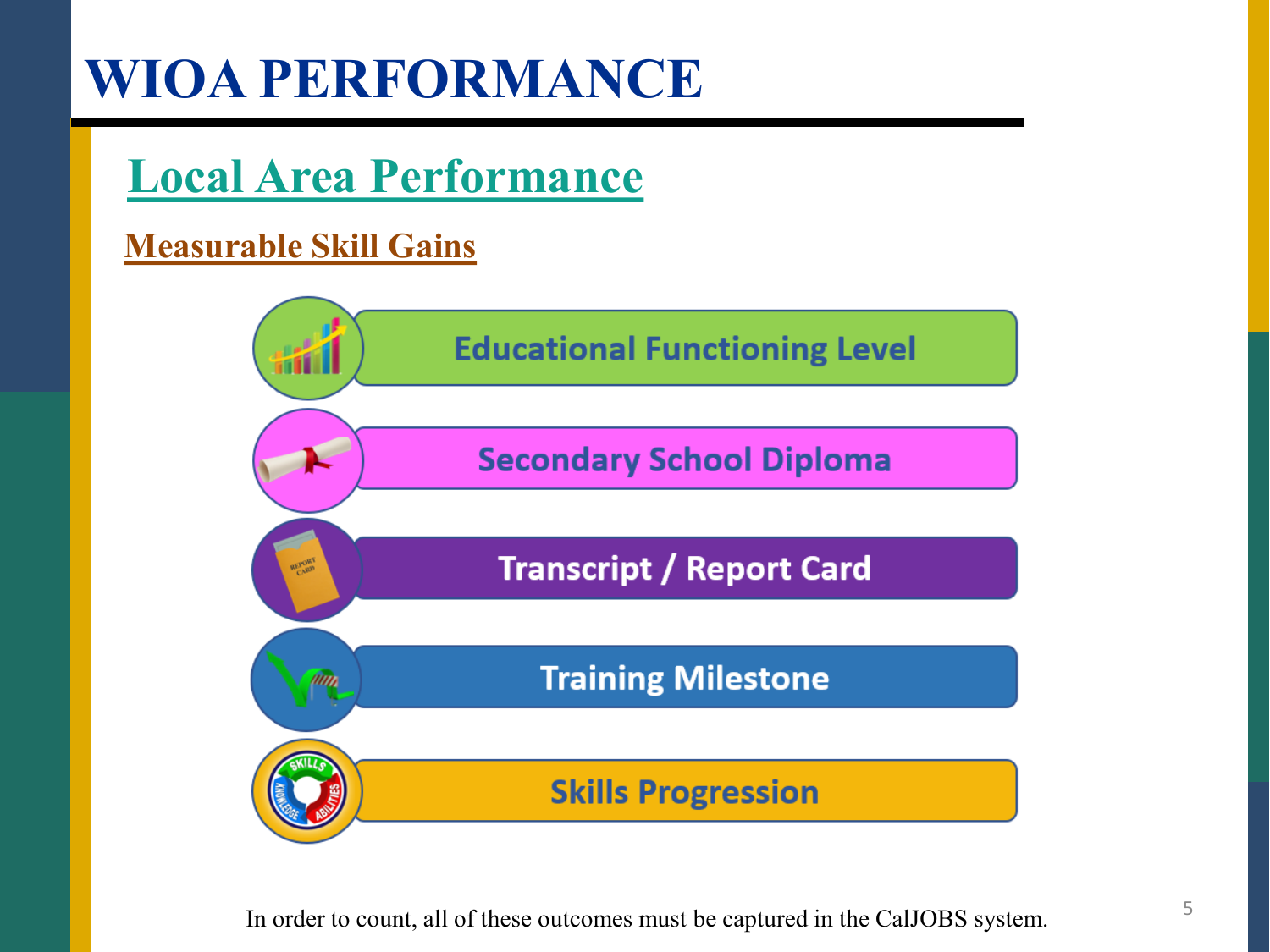### **Local Area Performance**

#### **Measurable Skill Gains**



In order to count, all of these outcomes must be captured in the CalJOBS system.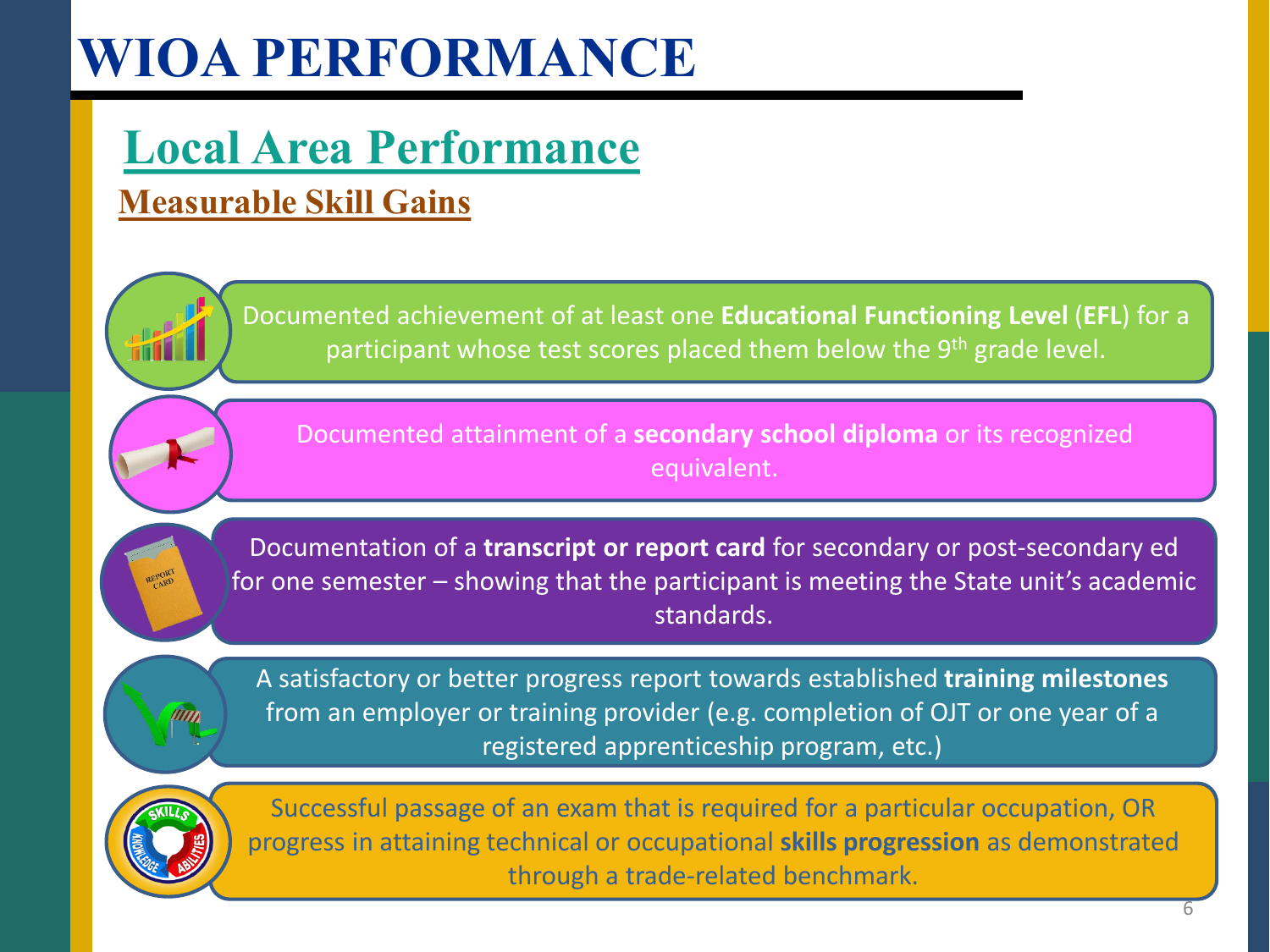#### **Local Area Performance Measurable Skill Gains**

Documented achievement of at least one **Educational Functioning Level** (**EFL**) for a participant whose test scores placed them below the 9<sup>th</sup> grade level.

Documented attainment of a **secondary school diploma** or its recognized equivalent.

Documentation of a **transcript or report card** for secondary or post-secondary ed for one semester – showing that the participant is meeting the State unit's academic standards.

min

A satisfactory or better progress report towards established **training milestones**  from an employer or training provider (e.g. completion of OJT or one year of a registered apprenticeship program, etc.)



Successful passage of an exam that is required for a particular occupation, OR progress in attaining technical or occupational **skills progression** as demonstrated through a trade-related benchmark.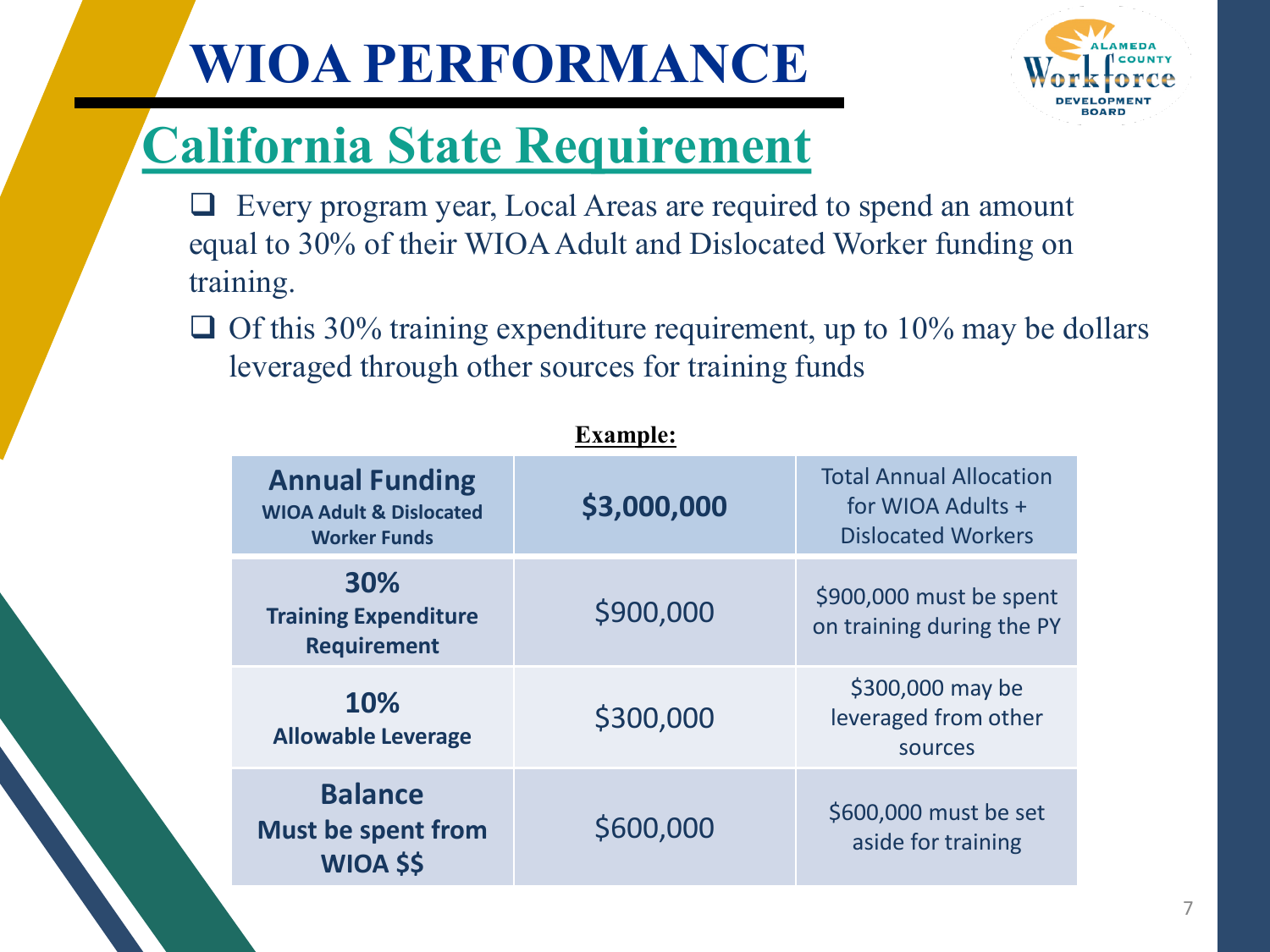

## **California State Requirement**

- Every program year, Local Areas are required to spend an amount equal to 30% of their WIOA Adult and Dislocated Worker funding on training.
- $\Box$  Of this 30% training expenditure requirement, up to 10% may be dollars leveraged through other sources for training funds

|                                                                                    | <b>Example:</b> |                                                                                  |
|------------------------------------------------------------------------------------|-----------------|----------------------------------------------------------------------------------|
| <b>Annual Funding</b><br><b>WIOA Adult &amp; Dislocated</b><br><b>Worker Funds</b> | \$3,000,000     | <b>Total Annual Allocation</b><br>for WIOA Adults +<br><b>Dislocated Workers</b> |
| 30%<br><b>Training Expenditure</b><br><b>Requirement</b>                           | \$900,000       | \$900,000 must be spent<br>on training during the PY                             |
| 10%<br><b>Allowable Leverage</b>                                                   | \$300,000       | \$300,000 may be<br>leveraged from other<br>sources                              |
| <b>Balance</b><br><b>Must be spent from</b><br><b>WIOA \$\$</b>                    | \$600,000       | \$600,000 must be set<br>aside for training                                      |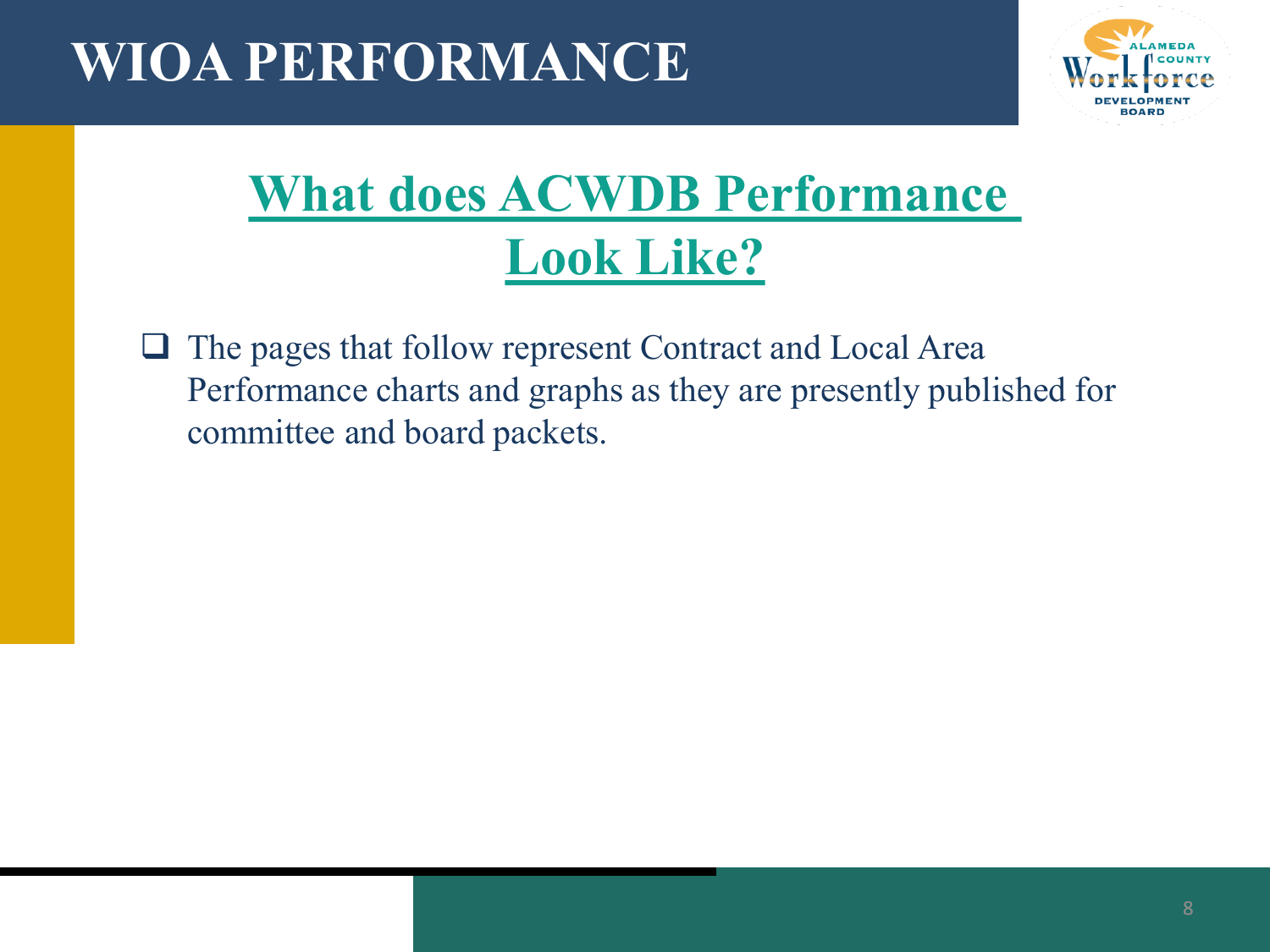

## **What does ACWDB Performance Look Like?**

 $\Box$  The pages that follow represent Contract and Local Area Performance charts and graphs as they are presently published for committee and board packets.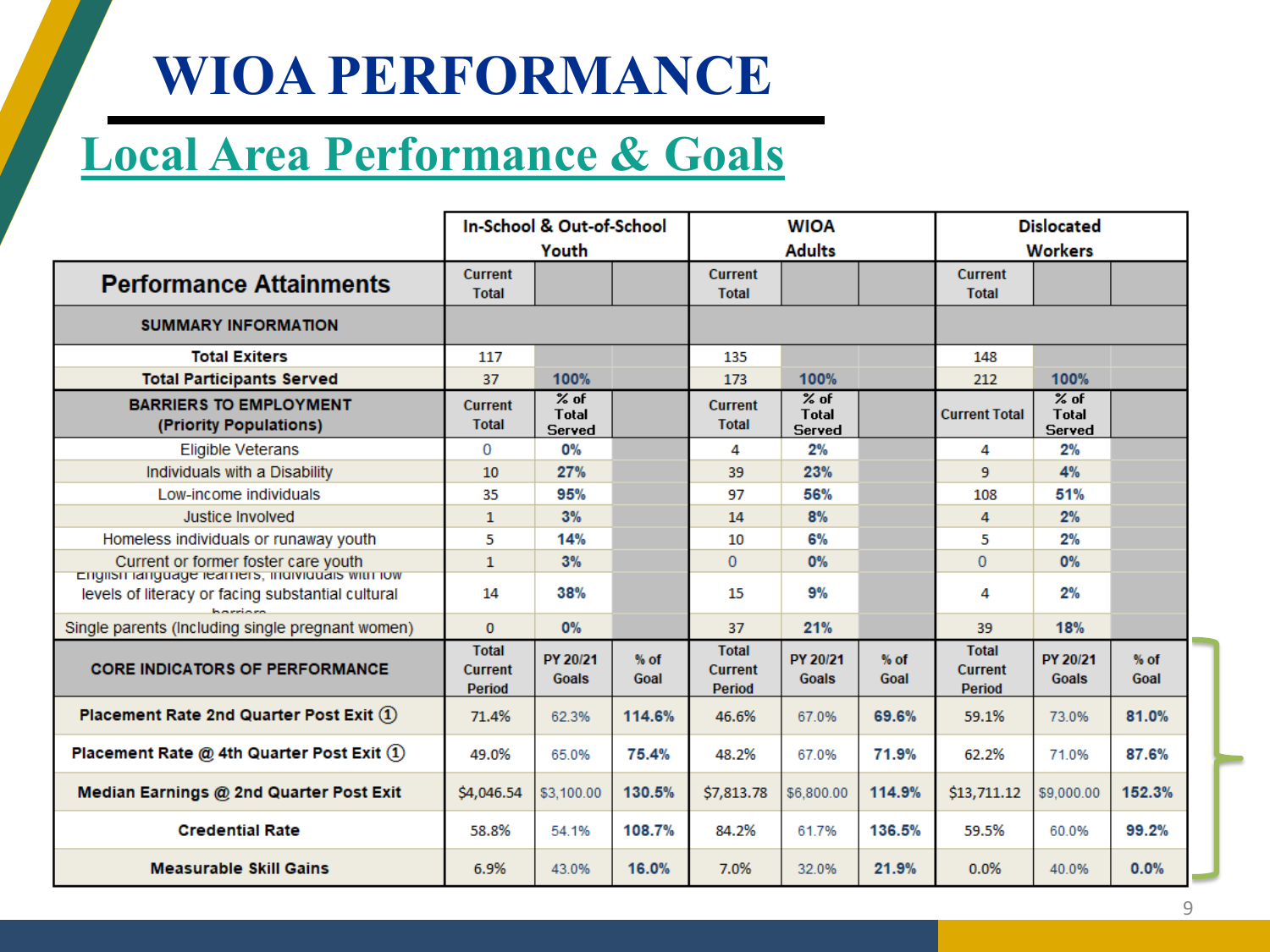#### **Local Area Performance & Goals**

|                                                                                        |                                          | In-School & Out-of-School               |                |                                   | <b>WIOA</b>                             |                | <b>Dislocated</b>                        |                                  |                |
|----------------------------------------------------------------------------------------|------------------------------------------|-----------------------------------------|----------------|-----------------------------------|-----------------------------------------|----------------|------------------------------------------|----------------------------------|----------------|
|                                                                                        |                                          | Youth                                   |                |                                   | <b>Adults</b>                           |                |                                          | <b>Workers</b>                   |                |
| <b>Performance Attainments</b>                                                         | <b>Current</b><br><b>Total</b>           |                                         |                | <b>Current</b><br><b>Total</b>    |                                         |                | <b>Current</b><br><b>Total</b>           |                                  |                |
| <b>SUMMARY INFORMATION</b>                                                             |                                          |                                         |                |                                   |                                         |                |                                          |                                  |                |
| <b>Total Exiters</b>                                                                   | 117                                      |                                         |                | 135                               |                                         |                | 148                                      |                                  |                |
| <b>Total Participants Served</b>                                                       | 37                                       | 100%                                    |                | 173                               | 100%                                    |                | 212                                      | 100%                             |                |
| <b>BARRIERS TO EMPLOYMENT</b><br>(Priority Populations)                                | <b>Current</b><br><b>Total</b>           | $%$ of<br><b>Total</b><br><b>Served</b> |                | <b>Current</b><br><b>Total</b>    | $%$ of<br><b>Total</b><br><b>Served</b> |                | <b>Current Total</b>                     | $%$ of<br><b>Total</b><br>Served |                |
| <b>Eligible Veterans</b>                                                               | 0                                        | 0%                                      |                | 4                                 | 2%                                      |                | 4                                        | 2%                               |                |
| Individuals with a Disability                                                          | 10                                       | 27%                                     |                | 39                                | 23%                                     |                | 9                                        | 4%                               |                |
| Low-income individuals                                                                 | 35                                       | 95%                                     |                | 97                                | 56%                                     |                | 108                                      | 51%                              |                |
| Justice Involved                                                                       | 1                                        | 3%                                      |                | 14                                | 8%                                      |                | 4                                        | 2%                               |                |
| Homeless individuals or runaway youth                                                  | 5                                        | 14%                                     |                | 10                                | 6%                                      |                | 5                                        | 2%                               |                |
| Current or former foster care youth<br>English language learners, individuals with low | 1                                        | 3%                                      |                | $\mathbf{0}$                      | 0%                                      |                | $\Omega$                                 | 0%                               |                |
| levels of literacy or facing substantial cultural<br>harriara                          | 14                                       | 38%                                     |                | 15                                | 9%                                      |                | 4                                        | 2%                               |                |
| Single parents (Including single pregnant women)                                       | $\bf{0}$                                 | 0%                                      |                | 37                                | 21%                                     |                | 39                                       | 18%                              |                |
| <b>CORE INDICATORS OF PERFORMANCE</b>                                                  | <b>Total</b><br><b>Current</b><br>Period | PY 20/21<br>Goals                       | $%$ of<br>Goal | <b>Total</b><br>Current<br>Period | PY 20/21<br><b>Goals</b>                | $%$ of<br>Goal | <b>Total</b><br><b>Current</b><br>Period | PY 20/21<br>Goals                | $%$ of<br>Goal |
| Placement Rate 2nd Quarter Post Exit (1)                                               | 71.4%                                    | 62.3%                                   | 114.6%         | 46.6%                             | 67.0%                                   | 69.6%          | 59.1%                                    | 73.0%                            | 81.0%          |
| Placement Rate @ 4th Quarter Post Exit $(1)$                                           | 49.0%                                    | 65.0%                                   | 75.4%          | 48.2%                             | 67.0%                                   | 71.9%          | 62.2%                                    | 71.0%                            | 87.6%          |
| Median Earnings @ 2nd Quarter Post Exit                                                | \$4,046.54                               | \$3,100.00                              | 130.5%         | \$7,813.78                        | \$6,800.00                              | 114.9%         | \$13,711.12                              | \$9,000.00                       | 152.3%         |
| <b>Credential Rate</b>                                                                 | 58.8%                                    | 54.1%                                   | 108.7%         | 84.2%                             | 61.7%                                   | 136.5%         | 59.5%                                    | 60.0%                            | 99.2%          |
| <b>Measurable Skill Gains</b>                                                          | 6.9%                                     | 43.0%                                   | 16.0%          | 7.0%                              | 32.0%                                   | 21.9%          | 0.0%                                     | 40.0%                            | 0.0%           |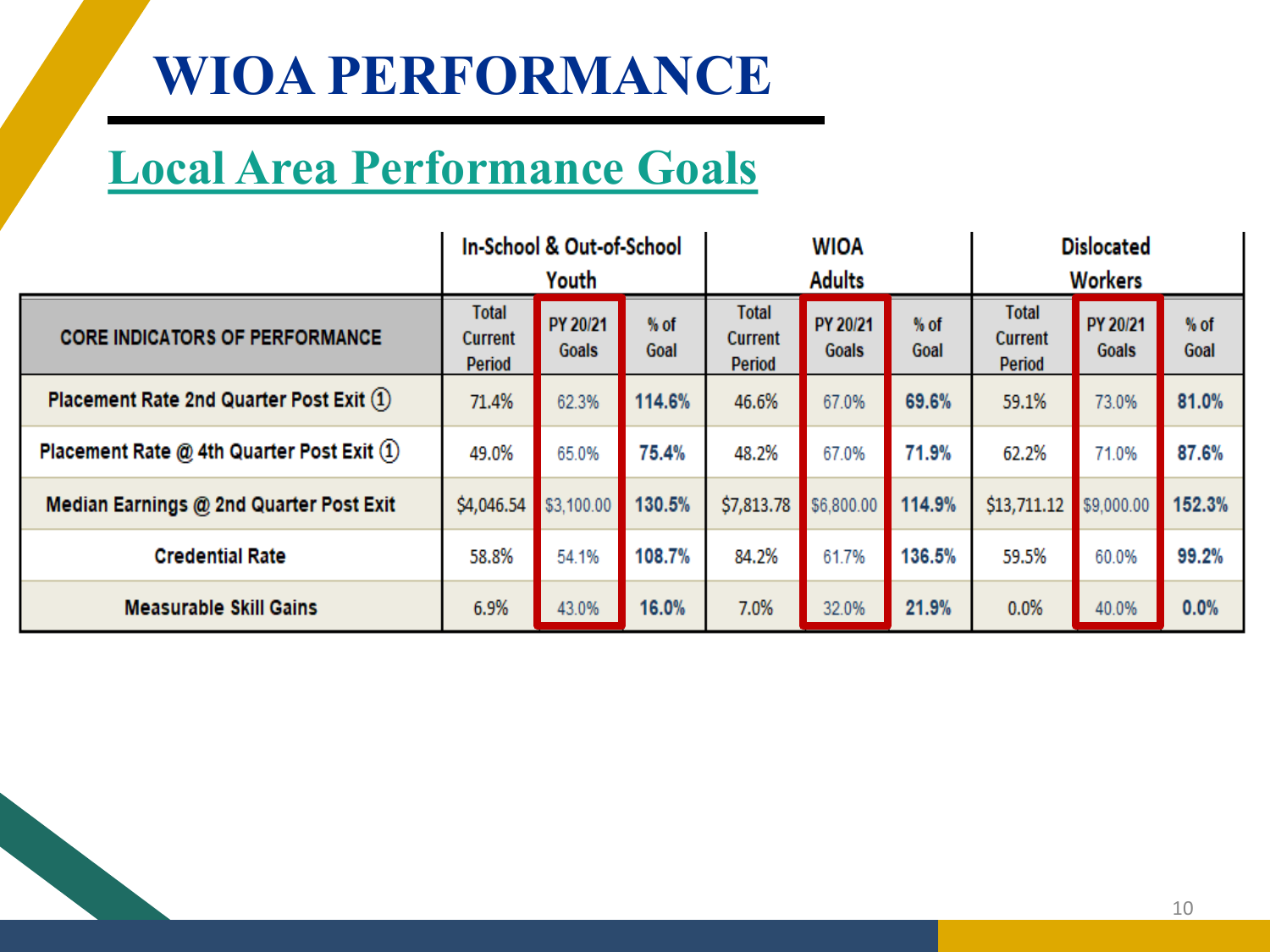### **Local Area Performance Goals**

|                                              | In-School & Out-of-School<br><b>Dislocated</b><br><b>WIOA</b><br><b>Adults</b><br><b>Workers</b><br>Youth |                   |                |                                          |                   |                |                                          |                   |              |
|----------------------------------------------|-----------------------------------------------------------------------------------------------------------|-------------------|----------------|------------------------------------------|-------------------|----------------|------------------------------------------|-------------------|--------------|
| <b>CORE INDICATORS OF PERFORMANCE</b>        | <b>Total</b><br><b>Current</b><br>Period                                                                  | PY 20/21<br>Goals | $%$ of<br>Goal | <b>Total</b><br>Current<br><b>Period</b> | PY 20/21<br>Goals | $%$ of<br>Goal | <b>Total</b><br><b>Current</b><br>Period | PY 20/21<br>Goals | % of<br>Goal |
| Placement Rate 2nd Quarter Post Exit (1)     | 71.4%                                                                                                     | 62.3%             | 114.6%         | 46.6%                                    | 67.0%             | 69.6%          | 59.1%                                    | 73.0%             | 81.0%        |
| Placement Rate @ 4th Quarter Post Exit $(1)$ | 49.0%                                                                                                     | 65.0%             | 75.4%          | 48.2%                                    | 67.0%             | 71.9%          | 62.2%                                    | 71.0%             | 87.6%        |
| Median Earnings @ 2nd Quarter Post Exit      | \$4,046.54                                                                                                | \$3,100.00        | 130.5%         | \$7,813.78                               | \$6,800.00        | 114.9%         | \$13,711.12                              | \$9,000.00        | 152.3%       |
| <b>Credential Rate</b>                       | 58.8%                                                                                                     | 54.1%             | 108.7%         | 84.2%                                    | 61.7%             | 136.5%         | 59.5%                                    | 60.0%             | 99.2%        |
| <b>Measurable Skill Gains</b>                | 6.9%                                                                                                      | 43.0%             | 16.0%          | 7.0%                                     | 32.0%             | 21.9%          | 0.0%                                     | 40.0%             | 0.0%         |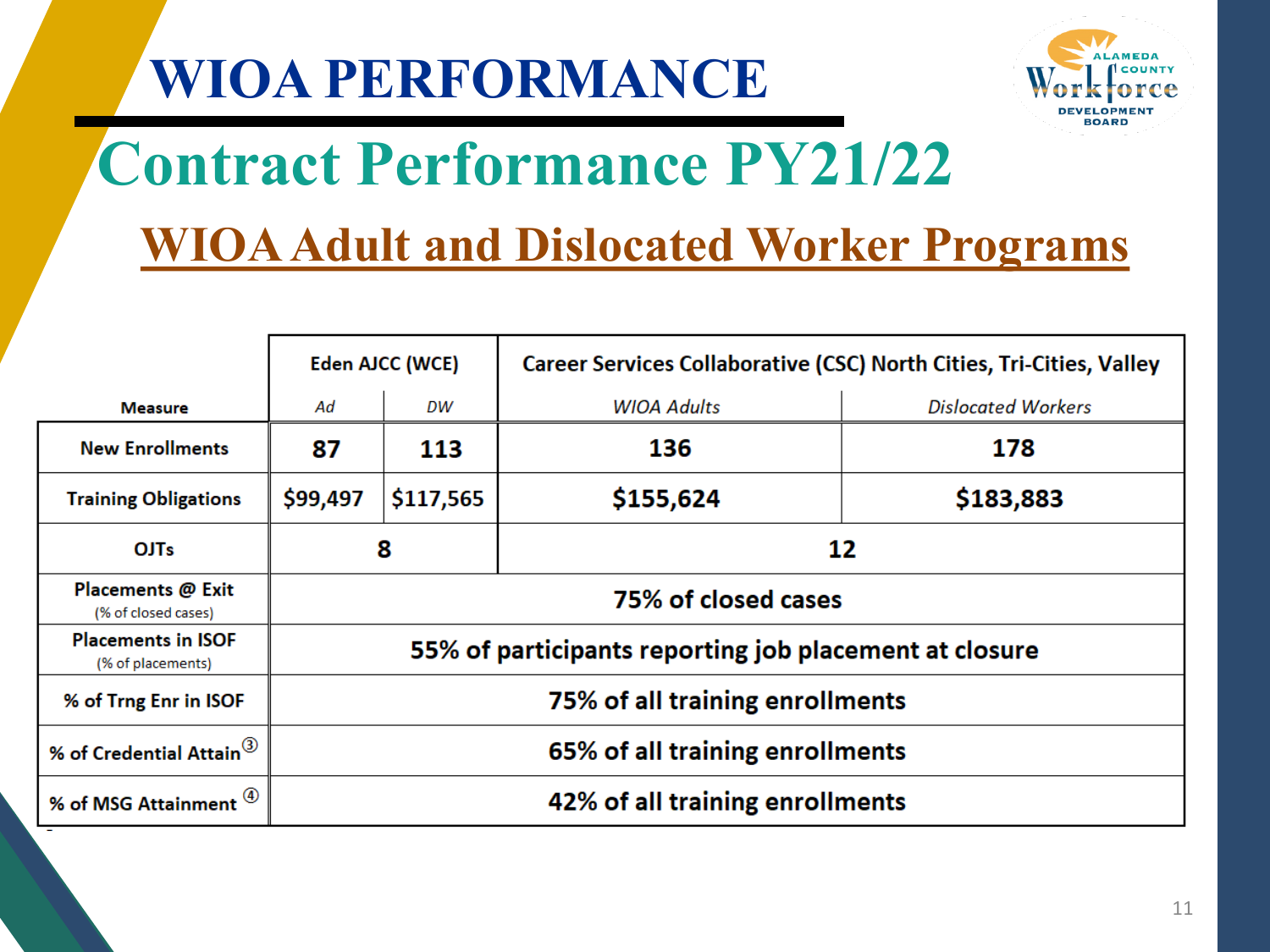

# **Contract Performance PY21/22**

#### **WIOA Adult and Dislocated Worker Programs**

|                                                | Eden AJCC (WCE) |                                 | Career Services Collaborative (CSC) North Cities, Tri-Cities, Valley |                           |  |  |  |  |
|------------------------------------------------|-----------------|---------------------------------|----------------------------------------------------------------------|---------------------------|--|--|--|--|
| <b>Measure</b>                                 | Ad              | DW                              | <b>WIOA Adults</b>                                                   | <b>Dislocated Workers</b> |  |  |  |  |
| <b>New Enrollments</b>                         | 87              | 113                             | 136                                                                  | 178                       |  |  |  |  |
| <b>Training Obligations</b>                    | \$99,497        | \$117,565                       | \$155,624                                                            | \$183,883                 |  |  |  |  |
| <b>OJTs</b>                                    | 8               | 12                              |                                                                      |                           |  |  |  |  |
| Placements @ Exit<br>(% of closed cases)       |                 |                                 | 75% of closed cases                                                  |                           |  |  |  |  |
| <b>Placements in ISOF</b><br>(% of placements) |                 |                                 | 55% of participants reporting job placement at closure               |                           |  |  |  |  |
| % of Trng Enr in ISOF                          |                 |                                 | 75% of all training enrollments                                      |                           |  |  |  |  |
| % of Credential Attain <sup>(3)</sup>          |                 | 65% of all training enrollments |                                                                      |                           |  |  |  |  |
| % of MSG Attainment                            |                 | 42% of all training enrollments |                                                                      |                           |  |  |  |  |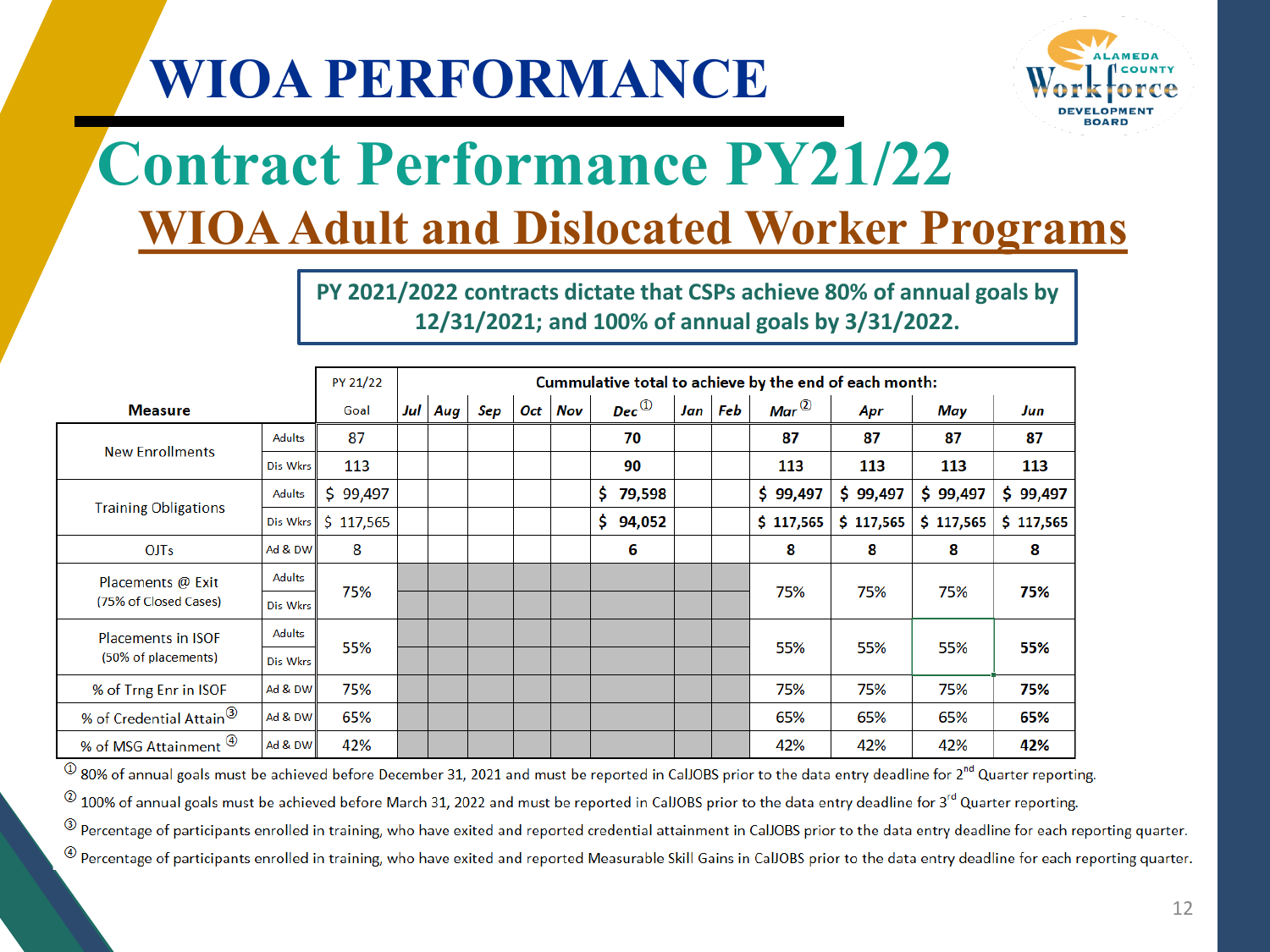

## **Contract Performance PY21/22 WIOA Adult and Dislocated Worker Programs**

**PY 2021/2022 contracts dictate that CSPs achieve 80% of annual goals by 12/31/2021; and 100% of annual goals by 3/31/2022.**

|                                     |               | PY 21/22  |     | Cummulative total to achieve by the end of each month: |     |     |     |                                                       |     |     |                   |           |           |              |
|-------------------------------------|---------------|-----------|-----|--------------------------------------------------------|-----|-----|-----|-------------------------------------------------------|-----|-----|-------------------|-----------|-----------|--------------|
| <b>Measure</b>                      |               | Goal      | Jul | Aug                                                    | Sep | Oct | Nov | $Dec^{\textcircled{\tiny{\textcircled{\tiny \dag}}}}$ | Jan | Feb | Mar $^\copyright$ | Apr       | May       | Jun          |
| <b>New Enrollments</b>              | <b>Adults</b> | 87        |     |                                                        |     |     |     | 70                                                    |     |     | 87                | 87        | 87        | 87           |
|                                     | Dis Wkrs      | 113       |     |                                                        |     |     |     | 90                                                    |     |     | 113               | 113       | 113       | 113          |
|                                     | Adults        | \$99,497  |     |                                                        |     |     |     | \$79,598                                              |     |     | \$99,497          | \$99,497  | \$99,497  | \$<br>99,497 |
| <b>Training Obligations</b>         | Dis Wkrs      | \$117,565 |     |                                                        |     |     |     | \$94,052                                              |     |     | \$117,565         | \$117,565 | \$117,565 | \$117,565    |
| <b>OJTs</b>                         | Ad & DW       | 8         |     |                                                        |     |     |     | 6                                                     |     |     | 8                 | 8         | 8         | 8            |
| Placements @ Exit                   | Adults        | 75%       |     |                                                        |     |     |     |                                                       |     |     | 75%               | 75%       | 75%       |              |
| (75% of Closed Cases)               | Dis Wkrs      |           |     |                                                        |     |     |     |                                                       |     |     |                   |           |           | 75%          |
| <b>Placements in ISOF</b>           | <b>Adults</b> | 55%       |     |                                                        |     |     |     |                                                       |     |     | 55%               | 55%       | 55%       | 55%          |
| (50% of placements)                 | Dis Wkrs      |           |     |                                                        |     |     |     |                                                       |     |     |                   |           |           |              |
| % of Trng Enr in ISOF               | Ad & DW       | 75%       |     |                                                        |     |     |     |                                                       |     |     | 75%               | 75%       | 75%       | 75%          |
| % of Credential Attain <sup>3</sup> | Ad & DW       | 65%       |     |                                                        |     |     |     |                                                       |     |     | 65%               | 65%       | 65%       | 65%          |
| % of MSG Attainment 4               | Ad & DW       | 42%       |     |                                                        |     |     |     |                                                       |     |     | 42%               | 42%       | 42%       | 42%          |

 $\Phi$  80% of annual goals must be achieved before December 31, 2021 and must be reported in CalJOBS prior to the data entry deadline for  $2^{nd}$  Quarter reporting.

 $^{(2)}$  100% of annual goals must be achieved before March 31, 2022 and must be reported in CalJOBS prior to the data entry deadline for 3<sup>rd</sup> Quarter reporting.

<sup>3</sup> Percentage of participants enrolled in training, who have exited and reported credential attainment in CalJOBS prior to the data entry deadline for each reporting quarter.

 $^{\circledR}$  Percentage of participants enrolled in training, who have exited and reported Measurable Skill Gains in CalJOBS prior to the data entry deadline for each reporting quarter.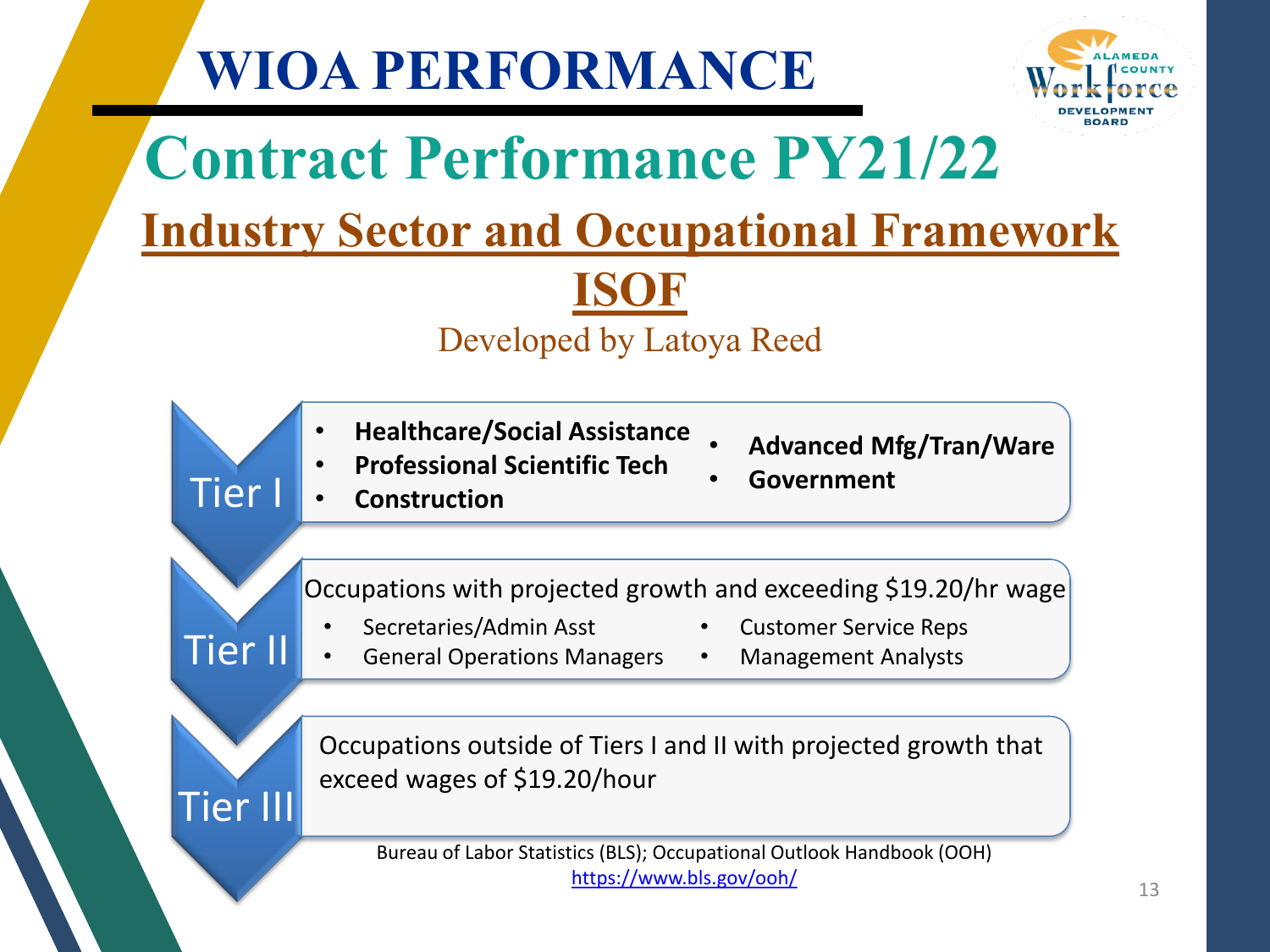

## **Contract Performance PY21/22 Industry Sector and Occupational Framework**

**ISOF**

#### Developed by Latoya Reed

- **Healthcare/Social Assistance**
- **Advanced Mfg/Tran/Ware**
- **Professional Scientific Tech**

Tier I

Tier II

Tier III

• **Construction**

• **Government**

Occupations with projected growth and exceeding \$19.20/hr wage

• Secretaries/Admin Asst

- Customer Service Reps
- General Operations Managers
- Management Analysts

Occupations outside of Tiers I and II with projected growth that exceed wages of \$19.20/hour

Bureau of Labor Statistics (BLS); Occupational Outlook Handbook (OOH) <https://www.bls.gov/ooh/>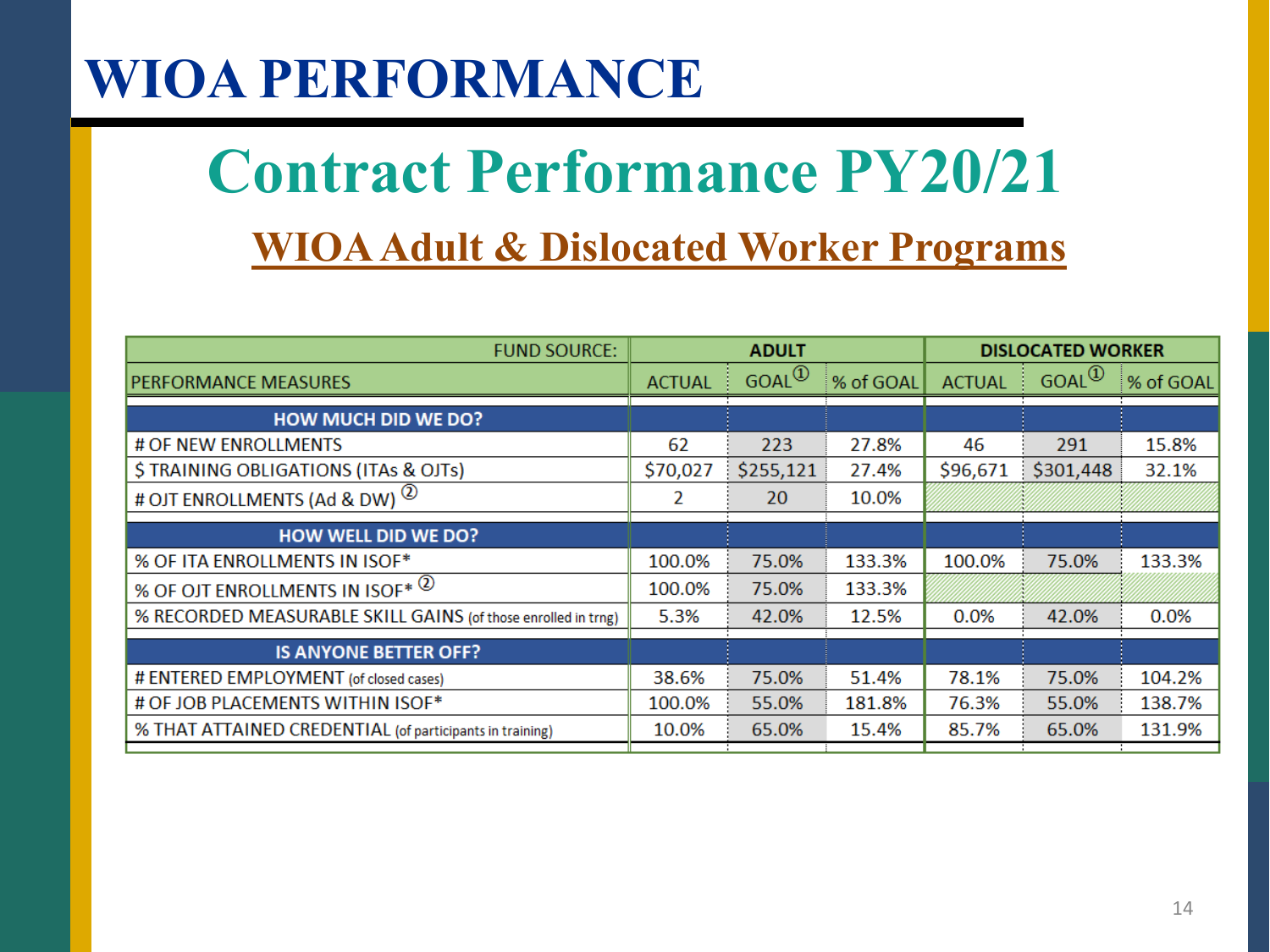## **WIOA Adult & Dislocated Worker Programs Contract Performance PY20/21**

| <b>FUND SOURCE:</b>                                           |               | <b>ADULT</b> |           |               | <b>DISLOCATED WORKER</b>       |           |
|---------------------------------------------------------------|---------------|--------------|-----------|---------------|--------------------------------|-----------|
| <b>PERFORMANCE MEASURES</b>                                   | <b>ACTUAL</b> | $GOAL^{(1)}$ | % of GOAL | <b>ACTUAL</b> | $GOAL^{\textcircled{\tiny 1}}$ | % of GOAL |
| <b>HOW MUCH DID WE DO?</b>                                    |               |              |           |               |                                |           |
| # OF NEW ENROLLMENTS                                          | 62            | 223          | 27.8%     | 46            | 291                            | 15.8%     |
| \$TRAINING OBLIGATIONS (ITAs & OJTs)                          | \$70,027      | \$255,121    | 27.4%     | \$96,671      | \$301,448                      | 32.1%     |
| # OJT ENROLLMENTS (Ad & DW) <sup>(2)</sup>                    | 2             | 20           | 10.0%     |               |                                |           |
| <b>HOW WELL DID WE DO?</b>                                    |               |              |           |               |                                |           |
| % OF ITA ENROLLMENTS IN ISOF*                                 | 100.0%        | 75.0%        | 133.3%    | 100.0%        | 75.0%                          | 133.3%    |
| % OF OJT ENROLLMENTS IN ISOF* (2)                             | 100.0%        | 75.0%        | 133.3%    |               |                                |           |
| % RECORDED MEASURABLE SKILL GAINS (of those enrolled in trng) | 5.3%          | 42.0%        | 12.5%     | 0.0%          | 42.0%                          | 0.0%      |
| <b>IS ANYONE BETTER OFF?</b>                                  |               |              |           |               |                                |           |
| # ENTERED EMPLOYMENT (of closed cases)                        | 38.6%         | 75.0%        | 51.4%     | 78.1%         | 75.0%                          | 104.2%    |
| # OF JOB PLACEMENTS WITHIN ISOF*                              | 100.0%        | 55.0%        | 181.8%    | 76.3%         | 55.0%                          | 138.7%    |
| % THAT ATTAINED CREDENTIAL (of participants in training)      | 10.0%         | 65.0%        | 15.4%     | 85.7%         | 65.0%                          | 131.9%    |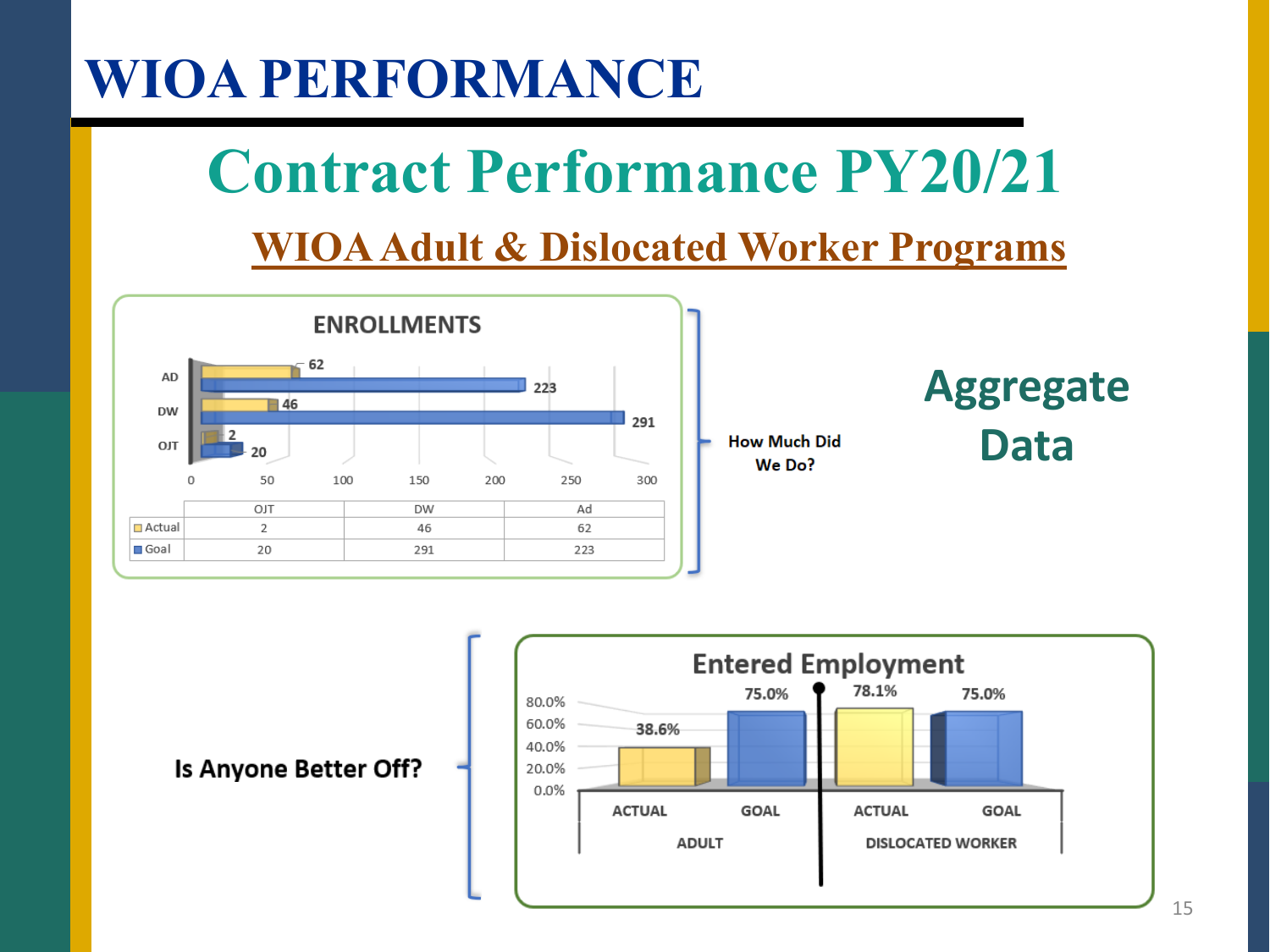## **WIOA Adult & Dislocated Worker Programs Contract Performance PY20/21**



### **Aggregate Data**



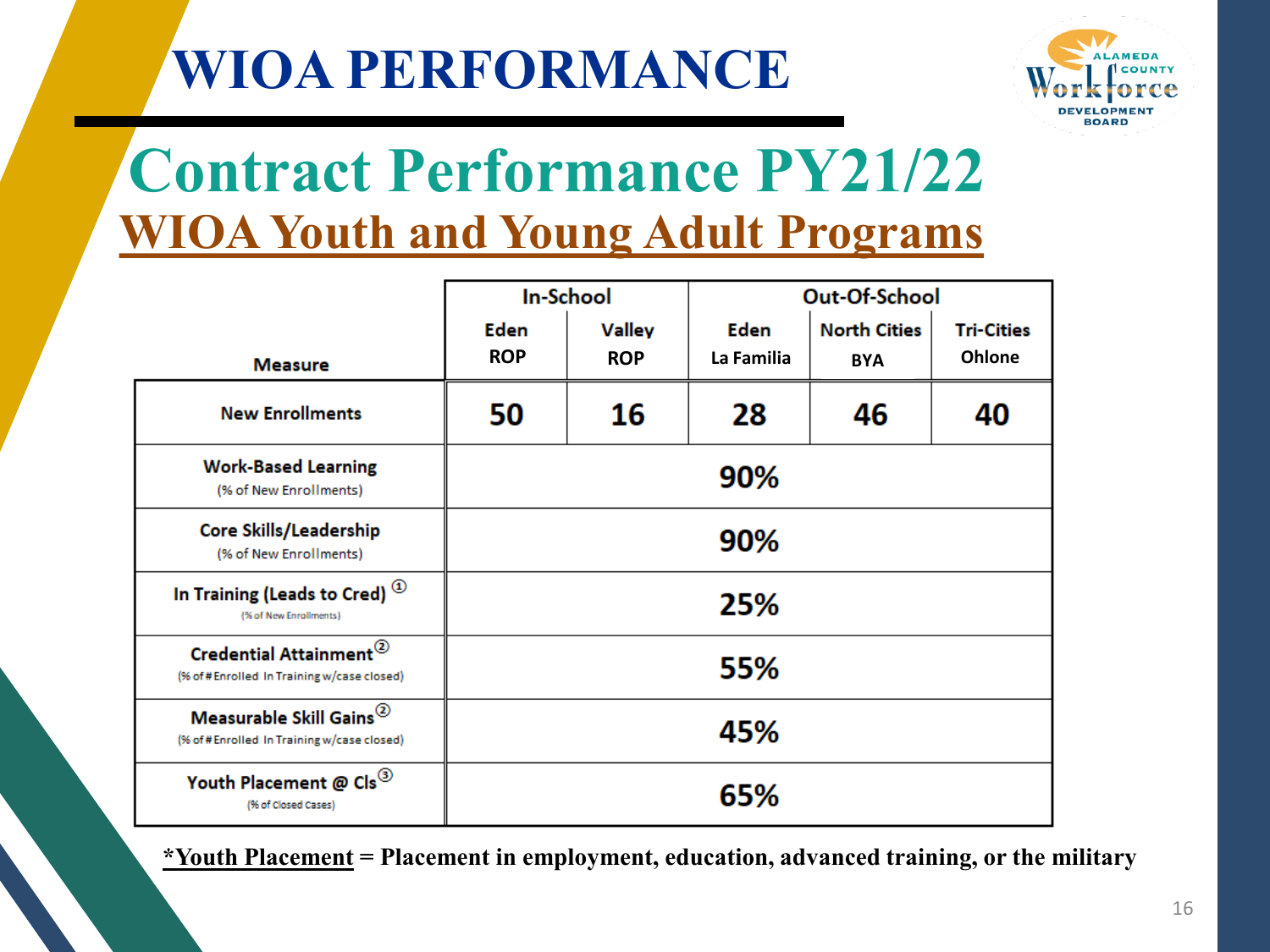

## **Contract Performance PY21/22 WIOA Youth and Young Adult Programs**

|                                                                                   |                           | <b>In-School</b>            |                           | Out-Of-School                     |                                    |  |  |
|-----------------------------------------------------------------------------------|---------------------------|-----------------------------|---------------------------|-----------------------------------|------------------------------------|--|--|
| <b>Measure</b>                                                                    | <b>Eden</b><br><b>ROP</b> | <b>Valley</b><br><b>ROP</b> | <b>Eden</b><br>La Familia | <b>North Cities</b><br><b>BYA</b> | <b>Tri-Cities</b><br><b>Ohlone</b> |  |  |
| <b>New Enrollments</b>                                                            | 50                        | 16                          | 28                        | 46                                | 40                                 |  |  |
| <b>Work-Based Learning</b><br>(% of New Enrollments)                              |                           |                             | 90%                       |                                   |                                    |  |  |
| Core Skills/Leadership<br>(% of New Enrollments)                                  | 90%                       |                             |                           |                                   |                                    |  |  |
| In Training (Leads to Cred) <sup>13</sup><br>(% of New Enrollments)               |                           |                             | 25%                       |                                   |                                    |  |  |
| Credential Attainment <sup>2</sup><br>(% of #Enrolled In Training w/case closed)  |                           |                             | 55%                       |                                   |                                    |  |  |
| Measurable Skill Gains <sup>2</sup><br>(% of #Enrolled In Training w/case closed) |                           |                             | 45%                       |                                   |                                    |  |  |
| Youth Placement @ Cls <sup>3</sup><br>(% of Closed Cases)                         |                           |                             | 65%                       |                                   |                                    |  |  |

**\*Youth Placement = Placement in employment, education, advanced training, or the military**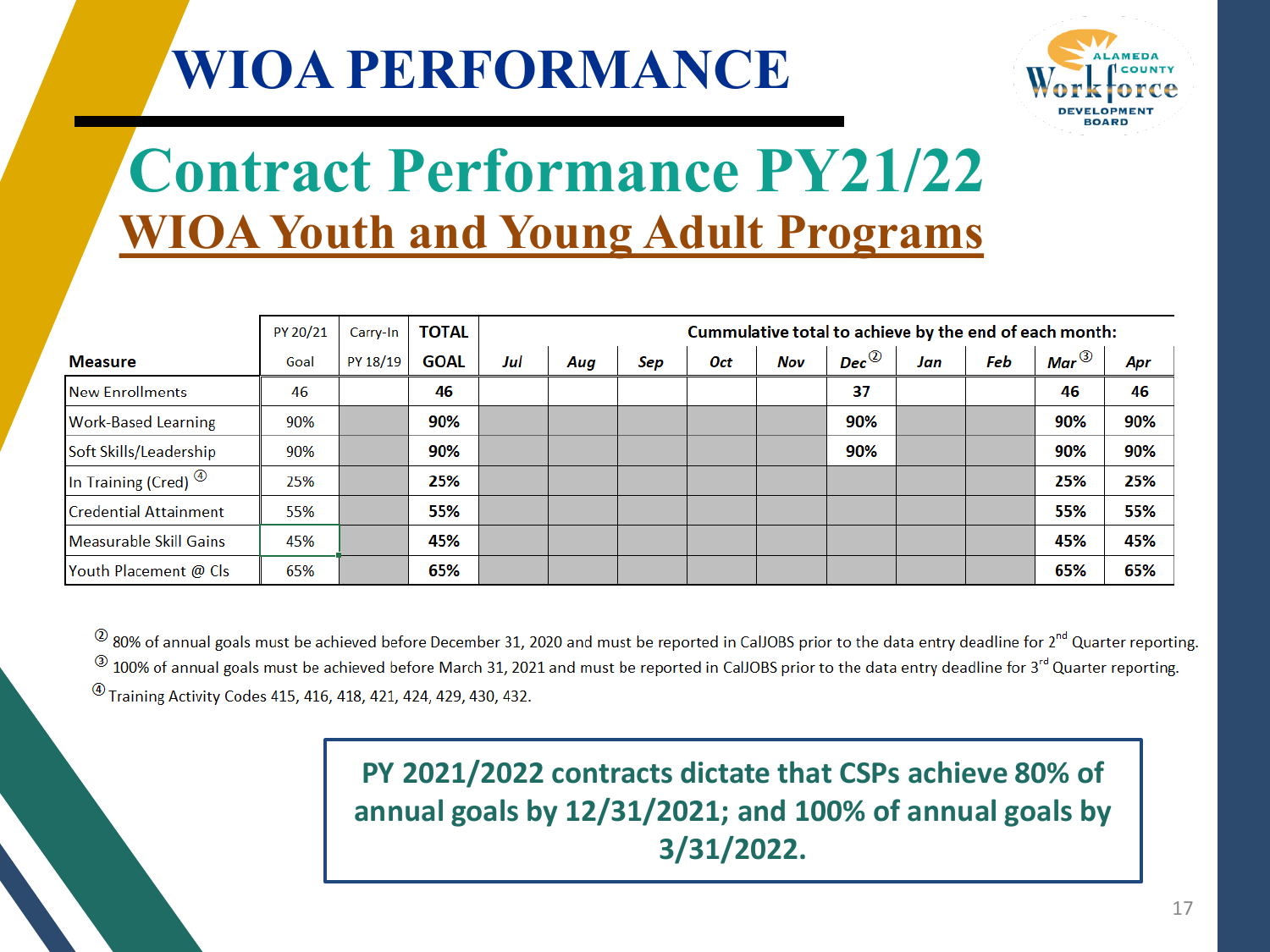

## **Contract Performance PY21/22 WIOA Youth and Young Adult Programs**

|                                   | PY 20/21 | Carry-In | <b>TOTAL</b> |     | Cummulative total to achieve by the end of each month: |     |     |     |                    |     |     |                  |     |
|-----------------------------------|----------|----------|--------------|-----|--------------------------------------------------------|-----|-----|-----|--------------------|-----|-----|------------------|-----|
| <b>Measure</b>                    | Goal     | PY 18/19 | <b>GOAL</b>  | Jul | Aug                                                    | Sep | Oct | Nov | Dec $^{\circledR}$ | Jan | Feb | Mar $^\circledR$ | Apr |
| <b>New Enrollments</b>            | 46       |          | 46           |     |                                                        |     |     |     | 37                 |     |     | 46               | 46  |
| <b>Work-Based Learning</b>        | 90%      |          | 90%          |     |                                                        |     |     |     | 90%                |     |     | 90%              | 90% |
| Soft Skills/Leadership            | 90%      |          | 90%          |     |                                                        |     |     |     | 90%                |     |     | 90%              | 90% |
| In Training (Cred) $^{\circledR}$ | 25%      |          | 25%          |     |                                                        |     |     |     |                    |     |     | 25%              | 25% |
| Credential Attainment             | 55%      |          | 55%          |     |                                                        |     |     |     |                    |     |     | 55%              | 55% |
| Measurable Skill Gains            | 45%      |          | 45%          |     |                                                        |     |     |     |                    |     |     | 45%              | 45% |
| Youth Placement @ Cls             | 65%      |          | 65%          |     |                                                        |     |     |     |                    |     |     | 65%              | 65% |

 $^{\circledR}$  80% of annual goals must be achieved before December 31, 2020 and must be reported in CalJOBS prior to the data entry deadline for 2<sup>nd</sup> Quarter reporting.  $^{(3)}$  100% of annual goals must be achieved before March 31, 2021 and must be reported in CalJOBS prior to the data entry deadline for 3<sup>rd</sup> Quarter reporting. <sup>4</sup> Training Activity Codes 415, 416, 418, 421, 424, 429, 430, 432.

> **PY 2021/2022 contracts dictate that CSPs achieve 80% of annual goals by 12/31/2021; and 100% of annual goals by 3/31/2022.**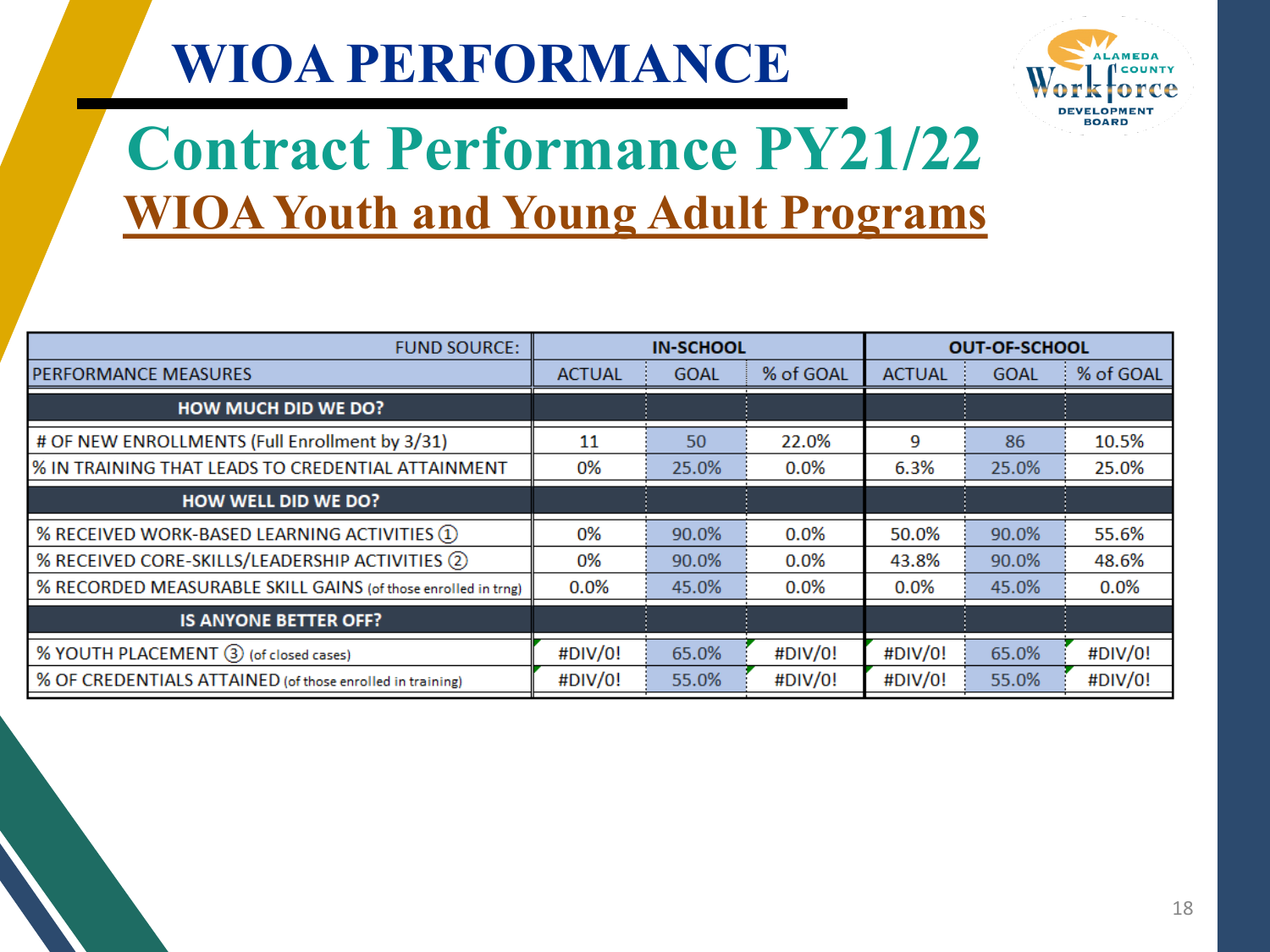

## **Contract Performance PY21/22 WIOA Youth and Young Adult Programs**

| <b>FUND SOURCE:</b>                                           |               | <b>IN-SCHOOL</b> |           |               | <b>OUT-OF-SCHOOL</b> |           |
|---------------------------------------------------------------|---------------|------------------|-----------|---------------|----------------------|-----------|
| PERFORMANCE MEASURES                                          | <b>ACTUAL</b> | <b>GOAL</b>      | % of GOAL | <b>ACTUAL</b> | <b>GOAL</b>          | % of GOAL |
| <b>HOW MUCH DID WE DO?</b>                                    |               |                  |           |               |                      |           |
| # OF NEW ENROLLMENTS (Full Enrollment by 3/31)                | 11            | 50               | 22.0%     | 9             | 86                   | 10.5%     |
| % IN TRAINING THAT LEADS TO CREDENTIAL ATTAINMENT             | 0%            | 25.0%            | $0.0\%$   | 6.3%          | 25.0%                | 25.0%     |
| <b>HOW WELL DID WE DO?</b>                                    |               |                  |           |               |                      |           |
| % RECEIVED WORK-BASED LEARNING ACTIVITIES 1                   | 0%            | 90.0%            | 0.0%      | 50.0%         | 90.0%                | 55.6%     |
| % RECEIVED CORE-SKILLS/LEADERSHIP ACTIVITIES 2                | 0%            | 90.0%            | $0.0\%$   | 43.8%         | 90.0%                | 48.6%     |
| % RECORDED MEASURABLE SKILL GAINS (of those enrolled in trng) | $0.0\%$       | 45.0%            | $0.0\%$   | $0.0\%$       | 45.0%                | $0.0\%$   |
| <b>IS ANYONE BETTER OFF?</b>                                  |               |                  |           |               |                      |           |
| % YOUTH PLACEMENT 3 (of closed cases)                         | #DIV/0!       | 65.0%            | #DIV/0!   | #DIV/0!       | 65.0%                | #DIV/0!   |
| % OF CREDENTIALS ATTAINED (of those enrolled in training)     | #DIV/0!       | 55.0%            | #DIV/0!   | #DIV/0!       | 55.0%                | #DIV/0!   |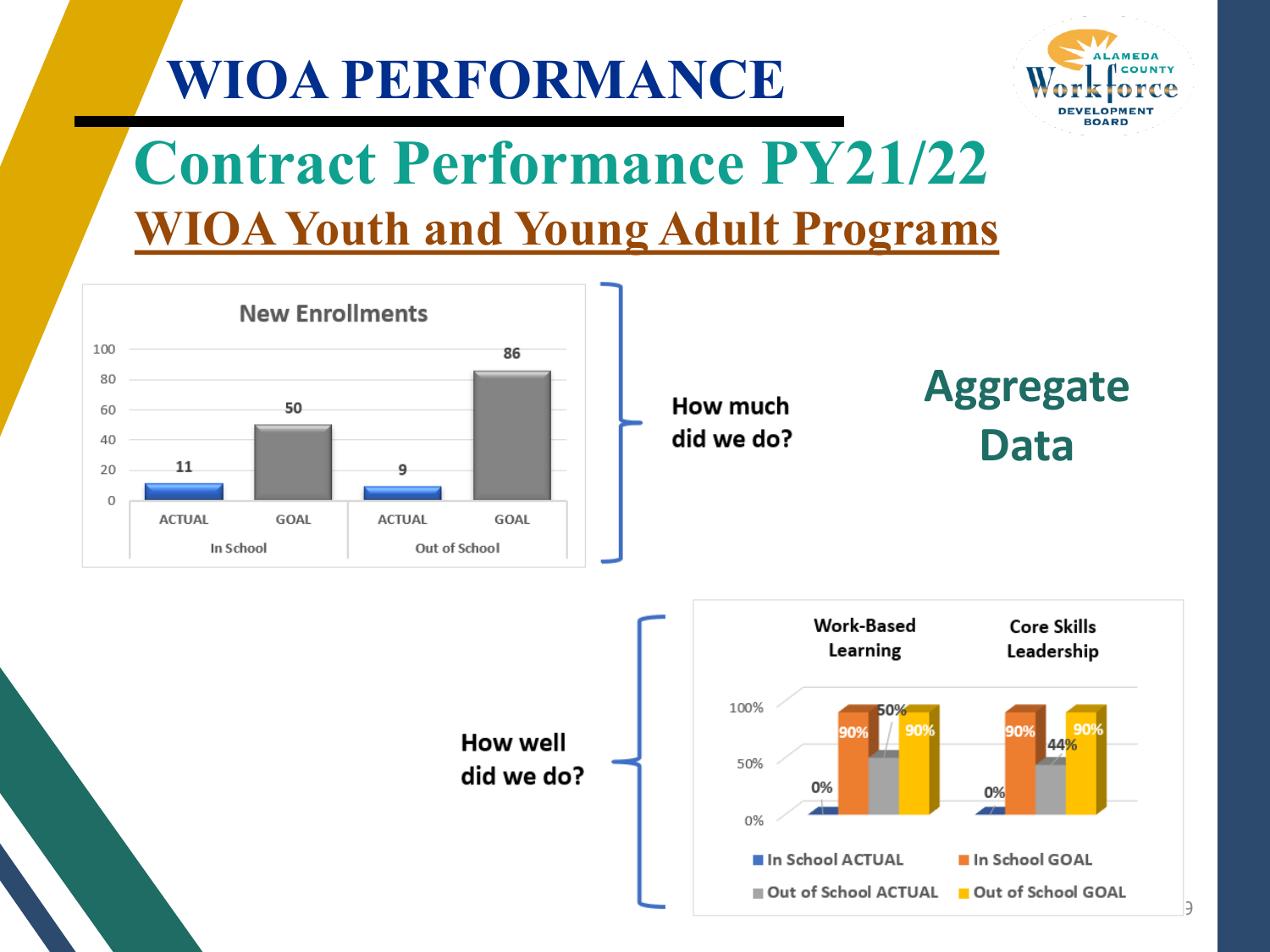